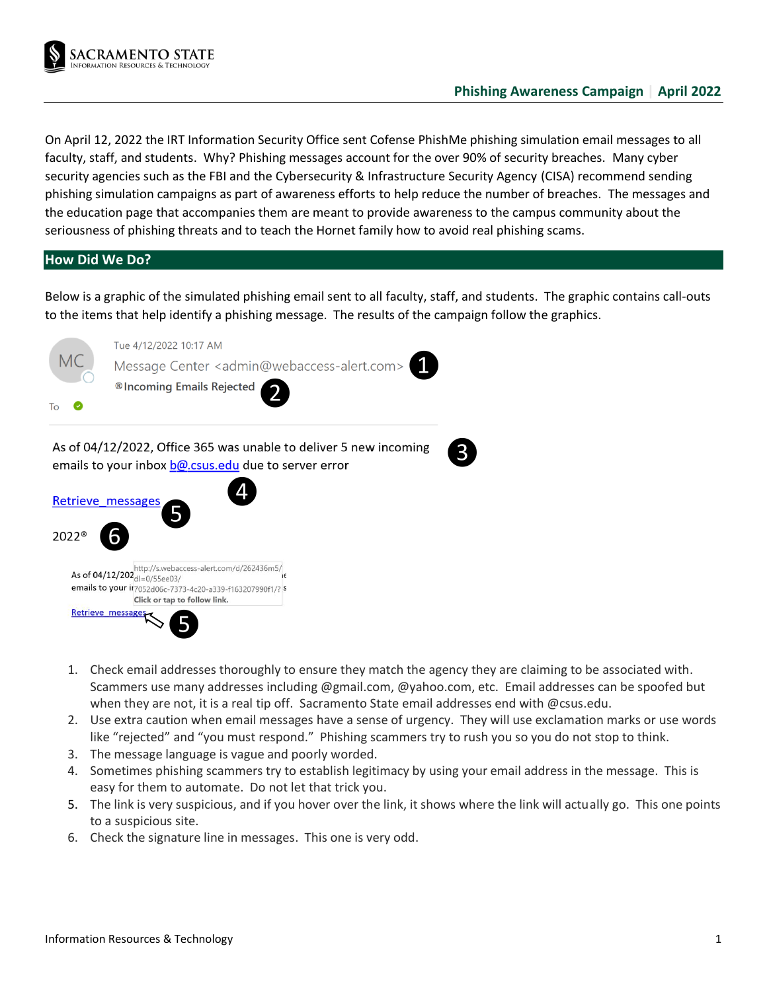

On April 12, 2022 the IRT Information Security Office sent Cofense PhishMe phishing simulation email messages to all faculty, staff, and students. Why? Phishing messages account for the over 90% of security breaches. Many cyber security agencies such as the FBI and the Cybersecurity & Infrastructure Security Agency (CISA) recommend sending phishing simulation campaigns as part of awareness efforts to help reduce the number of breaches. The messages and the education page that accompanies them are meant to provide awareness to the campus community about the seriousness of phishing threats and to teach the Hornet family how to avoid real phishing scams.

## **How Did We Do?**

Below is a graphic of the simulated phishing email sent to all faculty, staff, and students. The graphic contains call-outs to the items that help identify a phishing message. The results of the campaign follow the graphics.



- 1. Check email addresses thoroughly to ensure they match the agency they are claiming to be associated with. Scammers use many addresses including @gmail.com, @yahoo.com, etc. Email addresses can be spoofed but when they are not, it is a real tip off. Sacramento State email addresses end with @csus.edu.
- 2. Use extra caution when email messages have a sense of urgency. They will use exclamation marks or use words like "rejected" and "you must respond." Phishing scammers try to rush you so you do not stop to think.
- 3. The message language is vague and poorly worded.
- 4. Sometimes phishing scammers try to establish legitimacy by using your email address in the message. This is easy for them to automate. Do not let that trick you.
- 5. The link is very suspicious, and if you hover over the link, it shows where the link will actually go. This one points to a suspicious site.
- 6. Check the signature line in messages. This one is very odd.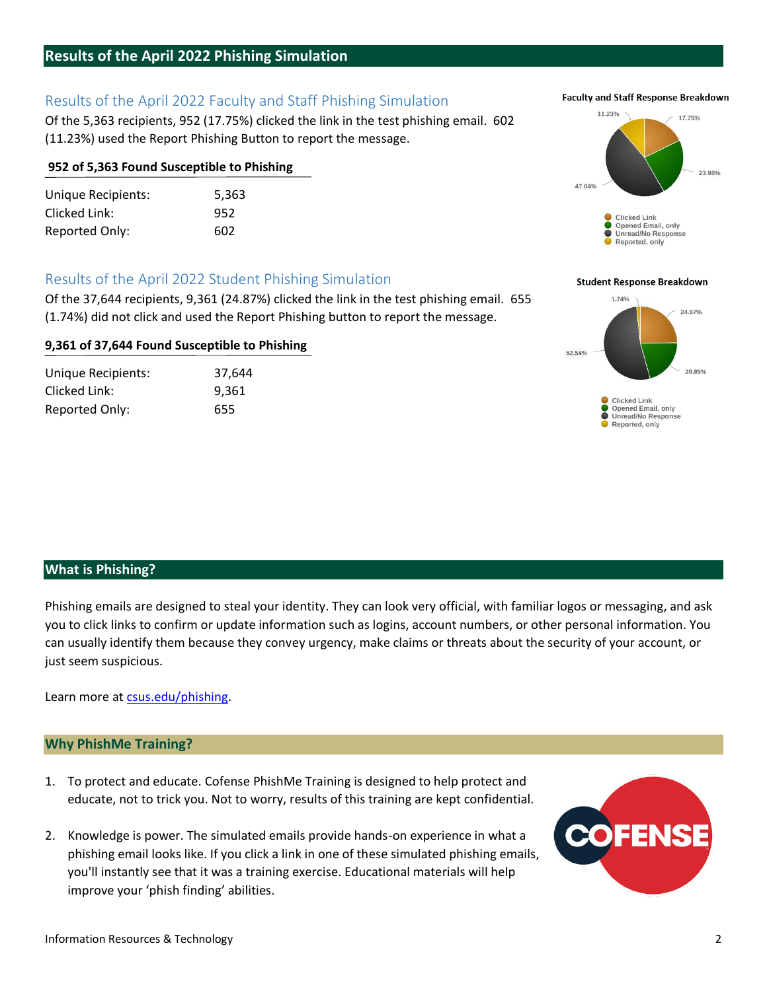## **Results of the April 2022 Phishing Simulation**

# Results of the April 2022 Faculty and Staff Phishing Simulation

Of the 5,363 recipients, 952 (17.75%) clicked the link in the test phishing email. 602 (11.23%) used the Report Phishing Button to report the message.

## **952 of 5,363 Found Susceptible to Phishing**

Unique Recipients: 5,363 Clicked Link: 952 Reported Only: 602

# Results of the April 2022 Student Phishing Simulation

Of the 37,644 recipients, 9,361 (24.87%) clicked the link in the test phishing email. 655 (1.74%) did not click and used the Report Phishing button to report the message.

## **9,361 of 37,644 Found Susceptible to Phishing**

Unique Recipients: 37,644 Clicked Link: 9,361 Reported Only: 655

## **What is Phishing?**

Phishing emails are designed to steal your identity. They can look very official, with familiar logos or messaging, and ask you to click links to confirm or update information such as logins, account numbers, or other personal information. You can usually identify them because they convey urgency, make claims or threats about the security of your account, or just seem suspicious.

Learn more at [csus.edu/phishing.](http://csus.edu/phishing)

## **Why PhishMe Training?**

- 1. To protect and educate. Cofense PhishMe Training is designed to help protect and educate, not to trick you. Not to worry, results of this training are kept confidential.
- 2. Knowledge is power. The simulated emails provide hands-on experience in what a phishing email looks like. If you click a link in one of these simulated phishing emails, you'll instantly see that it was a training exercise. Educational materials will help improve your 'phish finding' abilities.

#### **Student Response Breakdown**

Clicked Link Opened Email, only ● Unread/No Response<br>● Reported, only



### **Faculty and Staff Response Breakdown**

17,75%

23.98%

11.23%

47.04%